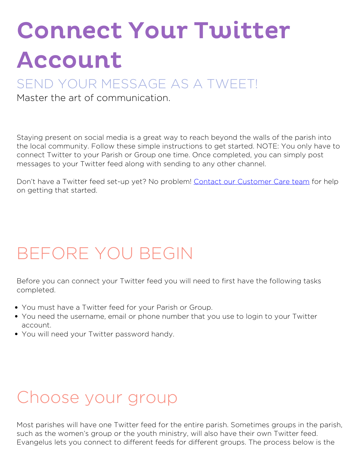# Connect Your Twitter Account

#### SEND YOUR MESSAGE AS A TWEET!

Master the art of communication.

Staying present on social media is a great way to reach beyond the walls of the parish into the local community. Follow these simple instructions to get started. NOTE: You only have to connect Twitter to your Parish or Group one time. Once completed, you can simply post messages to your Twitter feed along with sending to any other channel.

Don't have a Twitter feed set-up yet? No problem! [Contact our Customer Care team](https://diocesan.com/customer-care/) for help on getting that started.

# **BEFORE YOU BEGIN**

Before you can connect your Twitter feed you will need to first have the following tasks completed.

- You must have a Twitter feed for your Parish or Group.
- You need the username, email or phone number that you use to login to your Twitter account.
- You will need your Twitter password handy.

### **Choose your group**

Most parishes will have one Twitter feed for the entire parish. Sometimes groups in the parish, such as the women's group or the youth ministry, will also have their own Twitter feed. Evangelus lets you connect to different feeds for different groups. The process below is the